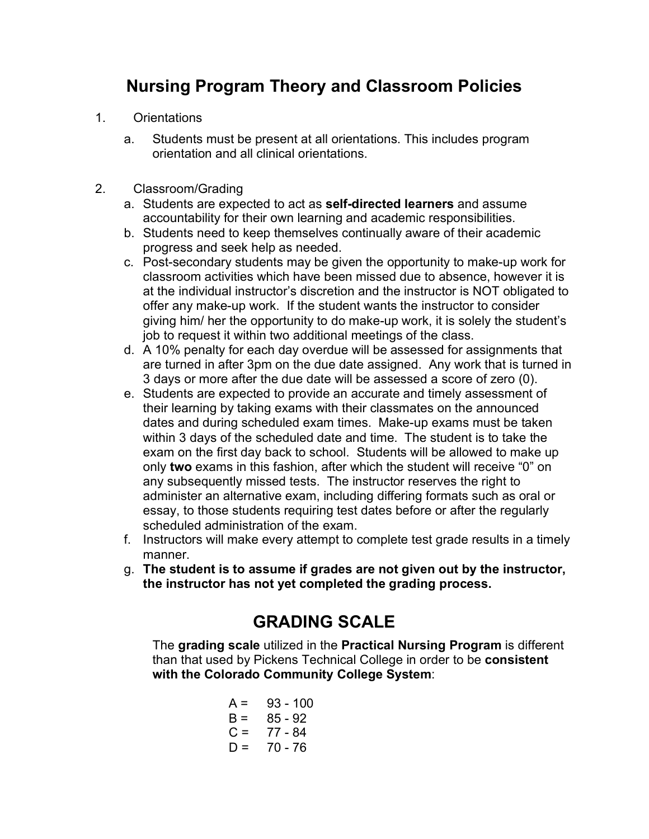## **Nursing Program Theory and Classroom Policies**

- 1. Orientations
	- a. Students must be present at all orientations. This includes program orientation and all clinical orientations.
- 2. Classroom/Grading
	- a. Students are expected to act as **self-directed learners** and assume accountability for their own learning and academic responsibilities.
	- b. Students need to keep themselves continually aware of their academic progress and seek help as needed.
	- c. Post-secondary students may be given the opportunity to make-up work for classroom activities which have been missed due to absence, however it is at the individual instructor's discretion and the instructor is NOT obligated to offer any make-up work. If the student wants the instructor to consider giving him/ her the opportunity to do make-up work, it is solely the student's job to request it within two additional meetings of the class.
	- d. A 10% penalty for each day overdue will be assessed for assignments that are turned in after 3pm on the due date assigned. Any work that is turned in 3 days or more after the due date will be assessed a score of zero (0).
	- e. Students are expected to provide an accurate and timely assessment of their learning by taking exams with their classmates on the announced dates and during scheduled exam times. Make-up exams must be taken within 3 days of the scheduled date and time. The student is to take the exam on the first day back to school. Students will be allowed to make up only **two** exams in this fashion, after which the student will receive "0" on any subsequently missed tests. The instructor reserves the right to administer an alternative exam, including differing formats such as oral or essay, to those students requiring test dates before or after the regularly scheduled administration of the exam.
	- f. Instructors will make every attempt to complete test grade results in a timely manner.
	- g. **The student is to assume if grades are not given out by the instructor, the instructor has not yet completed the grading process.**

## **GRADING SCALE**

The **grading scale** utilized in the **Practical Nursing Program** is different than that used by Pickens Technical College in order to be **consistent with the Colorado Community College System**:

$$
A = 93 - 100
$$
  
\n
$$
B = 85 - 92
$$
  
\n
$$
C = 77 - 84
$$
  
\n
$$
D = 70 - 76
$$